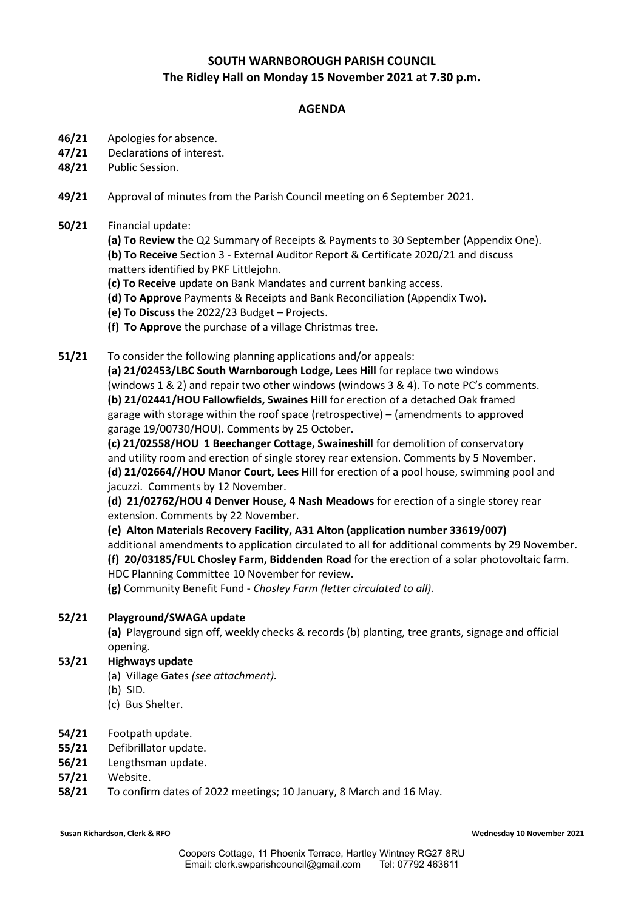## **SOUTH WARNBOROUGH PARISH COUNCIL The Ridley Hall on Monday 15 November 2021 at 7.30 p.m.**

### **AGENDA**

- **46/21** Apologies for absence.
- **47/21** Declarations of interest.
- **48/21** Public Session.
- **49/21** Approval of minutes from the Parish Council meeting on 6 September 2021.

### **50/21** Financial update:

**(a) To Review** the Q2 Summary of Receipts & Payments to 30 September (Appendix One). **(b) To Receive** Section 3 - External Auditor Report & Certificate 2020/21 and discuss matters identified by PKF Littlejohn.

- **(c) To Receive** update on Bank Mandates and current banking access.
- **(d) To Approve** Payments & Receipts and Bank Reconciliation (Appendix Two).
- **(e) To Discuss** the 2022/23 Budget Projects.
- **(f) To Approve** the purchase of a village Christmas tree.
- **51/21** To consider the following planning applications and/or appeals:

**(a) 21/02453/LBC South Warnborough Lodge, Lees Hill** for replace two windows (windows 1 & 2) and repair two other windows (windows 3 & 4). To note PC's comments. **(b) 21/02441/HOU Fallowfields, Swaines Hill** for erection of a detached Oak framed garage with storage within the roof space (retrospective) – (amendments to approved garage 19/00730/HOU). Comments by 25 October.

**(c) 21/02558/HOU 1 Beechanger Cottage, Swaineshill** for demolition of conservatory and utility room and erection of single storey rear extension. Comments by 5 November. **(d) 21/02664//HOU Manor Court, Lees Hill** for erection of a pool house, swimming pool and jacuzzi. Comments by 12 November.

**(d) 21/02762/HOU 4 Denver House, 4 Nash Meadows** for erection of a single storey rear extension. Comments by 22 November.

**(e) Alton Materials Recovery Facility, A31 Alton (application number 33619/007)** additional amendments to application circulated to all for additional comments by 29 November. **(f) 20/03185/FUL Chosley Farm, Biddenden Road** for the erection of a solar photovoltaic farm. HDC Planning Committee 10 November for review.

**(g)** Community Benefit Fund - *Chosley Farm (letter circulated to all).*

#### **52/21 Playground/SWAGA update**

**(a)** Playground sign off, weekly checks & records (b) planting, tree grants, signage and official opening.

#### **53/21 Highways update**

- (a) Village Gates *(see attachment).*
- (b) SID.
- (c) Bus Shelter.
- **54/21** Footpath update.
- **55/21** Defibrillator update.
- **56/21** Lengthsman update.
- **57/21** Website.
- **58/21** To confirm dates of 2022 meetings; 10 January, 8 March and 16 May.

**Susan Richardson, Clerk & RFO Wednesday 10 November 2021**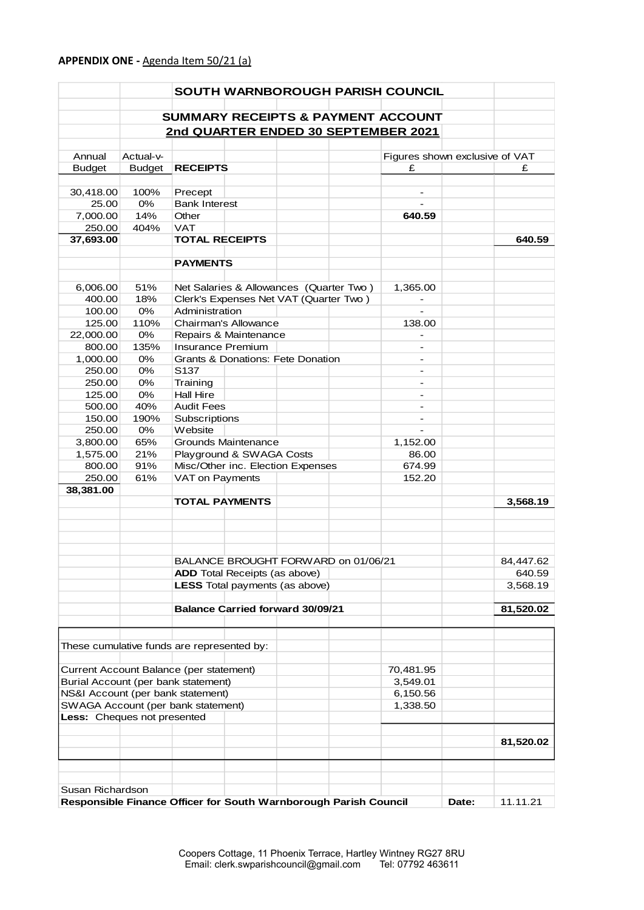|                                                                          |               |                       |                                         |  | SOUTH WARNBOROUGH PARISH COUNCIL                     |       |           |
|--------------------------------------------------------------------------|---------------|-----------------------|-----------------------------------------|--|------------------------------------------------------|-------|-----------|
|                                                                          |               |                       |                                         |  |                                                      |       |           |
|                                                                          |               |                       |                                         |  | <b>SUMMARY RECEIPTS &amp; PAYMENT ACCOUNT</b>        |       |           |
|                                                                          |               |                       |                                         |  | 2nd QUARTER ENDED 30 SEPTEMBER 2021                  |       |           |
| Annual                                                                   | Actual-v-     |                       |                                         |  | Figures shown exclusive of VAT                       |       |           |
| <b>Budget</b>                                                            | <b>Budget</b> | <b>RECEIPTS</b>       |                                         |  | £                                                    |       | £         |
|                                                                          |               |                       |                                         |  |                                                      |       |           |
| 30,418.00                                                                | 100%          | Precept               |                                         |  |                                                      |       |           |
| 25.00                                                                    | 0%            | <b>Bank Interest</b>  |                                         |  |                                                      |       |           |
| 7,000.00                                                                 | 14%           | Other                 |                                         |  | 640.59                                               |       |           |
| 250.00                                                                   | 404%          | <b>VAT</b>            |                                         |  |                                                      |       |           |
| 37,693.00                                                                |               | <b>TOTAL RECEIPTS</b> |                                         |  |                                                      |       | 640.59    |
|                                                                          |               |                       |                                         |  |                                                      |       |           |
|                                                                          |               | <b>PAYMENTS</b>       |                                         |  |                                                      |       |           |
|                                                                          |               |                       |                                         |  |                                                      |       |           |
| 6,006.00                                                                 | 51%           |                       | Net Salaries & Allowances (Quarter Two) |  | 1,365.00                                             |       |           |
| 400.00                                                                   | 18%           |                       | Clerk's Expenses Net VAT (Quarter Two)  |  | -                                                    |       |           |
| 100.00                                                                   | 0%            | Administration        |                                         |  |                                                      |       |           |
| 125.00                                                                   | 110%          |                       | Chairman's Allowance                    |  | 138.00                                               |       |           |
| 22,000.00                                                                | 0%            |                       | Repairs & Maintenance                   |  |                                                      |       |           |
| 800.00                                                                   | 135%          | Insurance Premium     |                                         |  |                                                      |       |           |
| 1,000.00                                                                 | $0\%$         | S137                  | Grants & Donations: Fete Donation       |  | $\overline{\phantom{a}}$                             |       |           |
| 250.00<br>250.00                                                         | 0%<br>$0\%$   | Training              |                                         |  | $\overline{\phantom{0}}$<br>$\overline{\phantom{a}}$ |       |           |
| 125.00                                                                   | $0\%$         | <b>Hall Hire</b>      |                                         |  | $\overline{\phantom{a}}$                             |       |           |
| 500.00                                                                   | 40%           | <b>Audit Fees</b>     |                                         |  |                                                      |       |           |
| 150.00                                                                   | 190%          | Subscriptions         |                                         |  |                                                      |       |           |
| 250.00                                                                   | $0\%$         | Website               |                                         |  | $\overline{\phantom{a}}$                             |       |           |
| 3,800.00                                                                 | 65%           |                       | Grounds Maintenance                     |  | 1,152.00                                             |       |           |
| 1,575.00                                                                 | 21%           |                       | Playground & SWAGA Costs                |  | 86.00                                                |       |           |
| 800.00                                                                   | 91%           |                       | Misc/Other inc. Election Expenses       |  | 674.99                                               |       |           |
| 250.00                                                                   | 61%           | VAT on Payments       |                                         |  | 152.20                                               |       |           |
| 38,381.00                                                                |               |                       |                                         |  |                                                      |       |           |
|                                                                          |               | <b>TOTAL PAYMENTS</b> |                                         |  |                                                      |       | 3,568.19  |
|                                                                          |               |                       |                                         |  |                                                      |       |           |
|                                                                          |               |                       |                                         |  |                                                      |       |           |
|                                                                          |               |                       |                                         |  |                                                      |       |           |
|                                                                          |               |                       |                                         |  |                                                      |       |           |
|                                                                          |               |                       | BALANCE BROUGHT FORWARD on 01/06/21     |  |                                                      |       | 84,447.62 |
|                                                                          |               |                       | <b>ADD</b> Total Receipts (as above)    |  |                                                      |       | 640.59    |
|                                                                          |               |                       | <b>LESS</b> Total payments (as above)   |  |                                                      |       | 3,568.19  |
|                                                                          |               |                       |                                         |  |                                                      |       |           |
|                                                                          |               |                       | <b>Balance Carried forward 30/09/21</b> |  |                                                      |       | 81,520.02 |
|                                                                          |               |                       |                                         |  |                                                      |       |           |
| These cumulative funds are represented by:                               |               |                       |                                         |  |                                                      |       |           |
|                                                                          |               |                       |                                         |  |                                                      |       |           |
| Current Account Balance (per statement)                                  |               |                       |                                         |  | 70,481.95                                            |       |           |
|                                                                          |               |                       |                                         |  | 3,549.01                                             |       |           |
| Burial Account (per bank statement)<br>NS&I Account (per bank statement) |               |                       |                                         |  | 6,150.56                                             |       |           |
| SWAGA Account (per bank statement)                                       |               |                       |                                         |  | 1,338.50                                             |       |           |
| Less: Cheques not presented                                              |               |                       |                                         |  |                                                      |       |           |
|                                                                          |               |                       |                                         |  |                                                      |       |           |
|                                                                          |               |                       |                                         |  |                                                      |       | 81,520.02 |
|                                                                          |               |                       |                                         |  |                                                      |       |           |
|                                                                          |               |                       |                                         |  |                                                      |       |           |
|                                                                          |               |                       |                                         |  |                                                      |       |           |
| Susan Richardson                                                         |               |                       |                                         |  |                                                      |       |           |
| Responsible Finance Officer for South Warnborough Parish Council         |               |                       |                                         |  |                                                      | Date: | 11.11.21  |